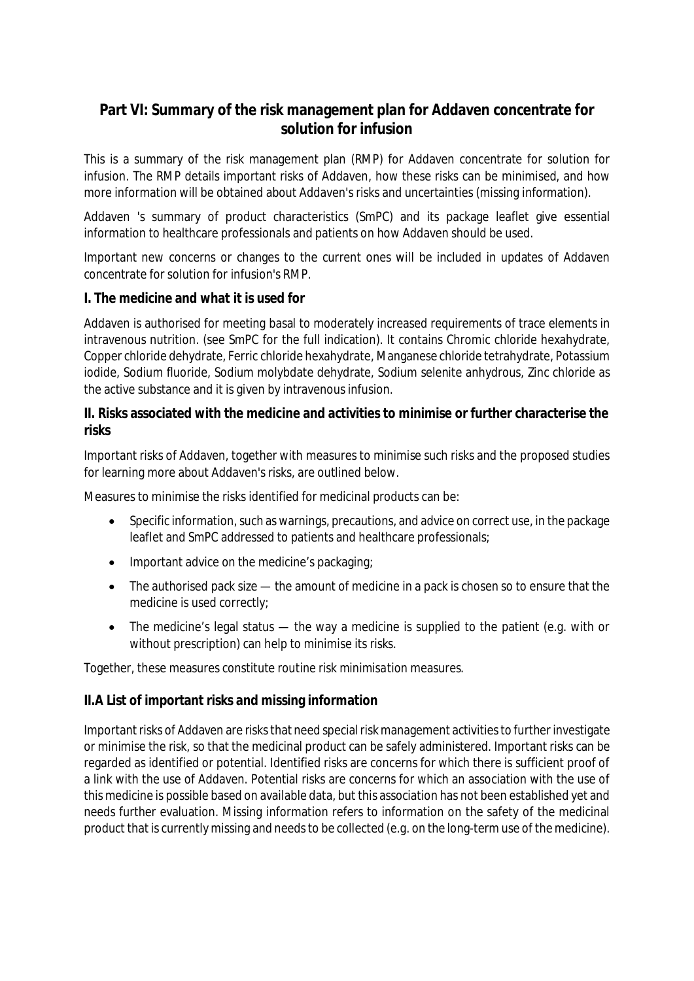# **Part VI: Summary of the risk management plan for Addaven concentrate for solution for infusion**

This is a summary of the risk management plan (RMP) for Addaven concentrate for solution for infusion. The RMP details important risks of Addaven, how these risks can be minimised, and how more information will be obtained about Addaven's risks and uncertainties (missing information).

Addaven 's summary of product characteristics (SmPC) and its package leaflet give essential information to healthcare professionals and patients on how Addaven should be used.

Important new concerns or changes to the current ones will be included in updates of Addaven concentrate for solution for infusion's RMP.

**I. The medicine and what it is used for**

Addaven is authorised for meeting basal to moderately increased requirements of trace elements in intravenous nutrition. (see SmPC for the full indication). It contains Chromic chloride hexahydrate, Copper chloride dehydrate, Ferric chloride hexahydrate, Manganese chloride tetrahydrate, Potassium iodide, Sodium fluoride, Sodium molybdate dehydrate, Sodium selenite anhydrous, Zinc chloride as the active substance and it is given by intravenous infusion.

**II. Risks associated with the medicine and activities to minimise or further characterise the risks**

Important risks of Addaven, together with measures to minimise such risks and the proposed studies for learning more about Addaven's risks, are outlined below.

Measures to minimise the risks identified for medicinal products can be:

- Specific information, such as warnings, precautions, and advice on correct use, in the package leaflet and SmPC addressed to patients and healthcare professionals;
- Important advice on the medicine's packaging;
- The authorised pack size the amount of medicine in a pack is chosen so to ensure that the medicine is used correctly;
- The medicine's legal status the way a medicine is supplied to the patient (e.g. with or without prescription) can help to minimise its risks.

Together, these measures constitute *routine risk minimisation* measures.

### **II.A List of important risks and missing information**

Important risks of Addaven are risks that need special risk management activities to further investigate or minimise the risk, so that the medicinal product can be safely administered. Important risks can be regarded as identified or potential. Identified risks are concerns for which there is sufficient proof of a link with the use of Addaven. Potential risks are concerns for which an association with the use of this medicine is possible based on available data, but this association has not been established yet and needs further evaluation. Missing information refers to information on the safety of the medicinal product that is currently missing and needs to be collected (e.g. on the long-term use of the medicine).